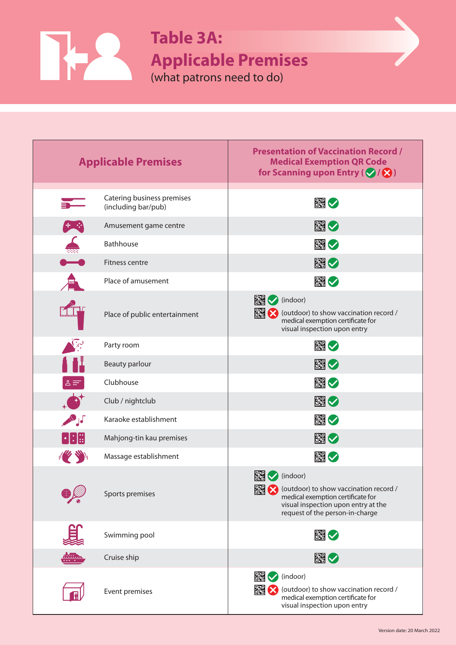**Applicable Premises** 

(what patrons need to do)

**Table 3A:**

 $\mathbf{R}$ 

Γ

| <b>Applicable Premises</b>                         |                                                   | <b>Presentation of Vaccination Record /</b><br><b>Medical Exemption QR Code</b><br>for Scanning upon Entry ( $\bigotimes / \bigotimes$ )                               |
|----------------------------------------------------|---------------------------------------------------|------------------------------------------------------------------------------------------------------------------------------------------------------------------------|
|                                                    | Catering business premises<br>(including bar/pub) | ■◇                                                                                                                                                                     |
| 生命                                                 | Amusement game centre                             | 図り                                                                                                                                                                     |
|                                                    | <b>Bathhouse</b>                                  |                                                                                                                                                                        |
|                                                    | Fitness centre                                    | 图◇                                                                                                                                                                     |
|                                                    | Place of amusement                                | ※◇                                                                                                                                                                     |
|                                                    | Place of public entertainment                     | <b>M</b> (indoor)<br>(outdoor) to show vaccination record /<br>medical exemption certificate for<br>visual inspection upon entry                                       |
|                                                    | Party room                                        | 翻し                                                                                                                                                                     |
|                                                    | <b>Beauty parlour</b>                             | ■◇                                                                                                                                                                     |
| $\triangle \equiv$                                 | Clubhouse                                         | ■◆                                                                                                                                                                     |
|                                                    | Club / nightclub                                  | 図◇                                                                                                                                                                     |
| <b>PAGE</b>                                        | Karaoke establishment                             | ■◆                                                                                                                                                                     |
| $\lvert \cdot \rvert$ : $\lvert \mathbb{S} \rvert$ | Mahjong-tin kau premises                          | ■♡                                                                                                                                                                     |
| $\frac{1}{2}$                                      | Massage establishment                             | ■♡                                                                                                                                                                     |
|                                                    | Sports premises                                   | 膷<br>(indoor)<br>(outdoor) to show vaccination record /<br>medical exemption certificate for<br>visual inspection upon entry at the<br>request of the person-in-charge |
|                                                    | Swimming pool                                     | 図り                                                                                                                                                                     |
|                                                    | Cruise ship                                       | 图                                                                                                                                                                      |
|                                                    | Event premises                                    | <b>EN</b> √ (indoor)<br>圝<br>(outdoor) to show vaccination record /<br>medical exemption certificate for<br>visual inspection upon entry                               |